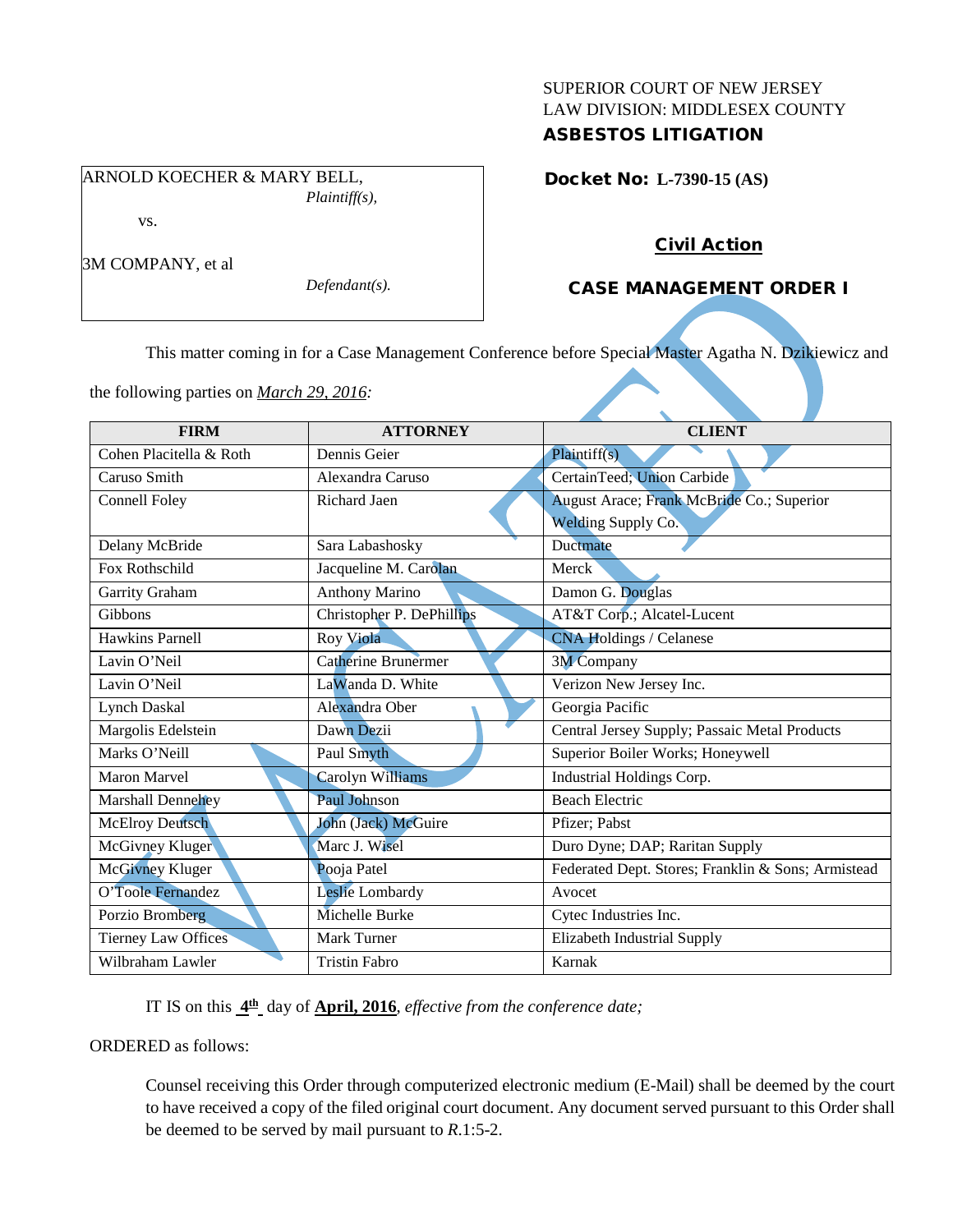# SUPERIOR COURT OF NEW JERSEY LAW DIVISION: MIDDLESEX COUNTY ASBESTOS LITIGATION

ARNOLD KOECHER & MARY BELL, *Plaintiff(s),* vs.

3M COMPANY, et al

*Defendant(s).*

Docket No: **L-7390-15 (AS)** 

# Civil Action

# CASE MANAGEMENT ORDER I

This matter coming in for a Case Management Conference before Special Master Agatha N. Dzikiewicz and

the following parties on *March 29, 2016:*

| <b>FIRM</b>                | <b>ATTORNEY</b>            | <b>CLIENT</b>                                      |
|----------------------------|----------------------------|----------------------------------------------------|
|                            |                            |                                                    |
| Cohen Placitella & Roth    | Dennis Geier               | Plaintiff(s)                                       |
| Caruso Smith               | Alexandra Caruso           | CertainTeed; Union Carbide                         |
| <b>Connell Foley</b>       | Richard Jaen               | August Arace; Frank McBride Co.; Superior          |
|                            |                            | <b>Welding Supply Co.</b>                          |
| Delany McBride             | Sara Labashosky            | Ductmate                                           |
| Fox Rothschild             | Jacqueline M. Carolan      | Merck                                              |
| Garrity Graham             | <b>Anthony Marino</b>      | Damon G. Douglas                                   |
| Gibbons                    | Christopher P. DePhillips  | AT&T Corp.; Alcatel-Lucent                         |
| Hawkins Parnell            | Roy Viola                  | <b>CNA Holdings / Celanese</b>                     |
| Lavin O'Neil               | <b>Catherine Brunermer</b> | <b>3M</b> Company                                  |
| Lavin O'Neil               | LaWanda D. White           | Verizon New Jersey Inc.                            |
| <b>Lynch Daskal</b>        | Alexandra Ober             | Georgia Pacific                                    |
| Margolis Edelstein         | Dawn Dezii                 | Central Jersey Supply; Passaic Metal Products      |
| Marks O'Neill              | Paul Smyth                 | Superior Boiler Works; Honeywell                   |
| <b>Maron Marvel</b>        | Carolyn Williams           | Industrial Holdings Corp.                          |
| Marshall Dennehey          | Paul Johnson               | <b>Beach Electric</b>                              |
| <b>McElroy Deutsch</b>     | John (Jack) McGuire        | Pfizer; Pabst                                      |
| McGivney Kluger            | Marc J. Wisel              | Duro Dyne; DAP; Raritan Supply                     |
| <b>McGivney Kluger</b>     | Pooja Patel                | Federated Dept. Stores; Franklin & Sons; Armistead |
| O'Toole Fernandez          | Leslie Lombardy            | Avocet                                             |
| Porzio Bromberg            | Michelle Burke             | Cytec Industries Inc.                              |
| <b>Tierney Law Offices</b> | Mark Turner                | Elizabeth Industrial Supply                        |
| Wilbraham Lawler           | <b>Tristin Fabro</b>       | Karnak                                             |

IT IS on this **4th** day of **April, 2016**, *effective from the conference date;*

ORDERED as follows:

Counsel receiving this Order through computerized electronic medium (E-Mail) shall be deemed by the court to have received a copy of the filed original court document. Any document served pursuant to this Order shall be deemed to be served by mail pursuant to *R*.1:5-2.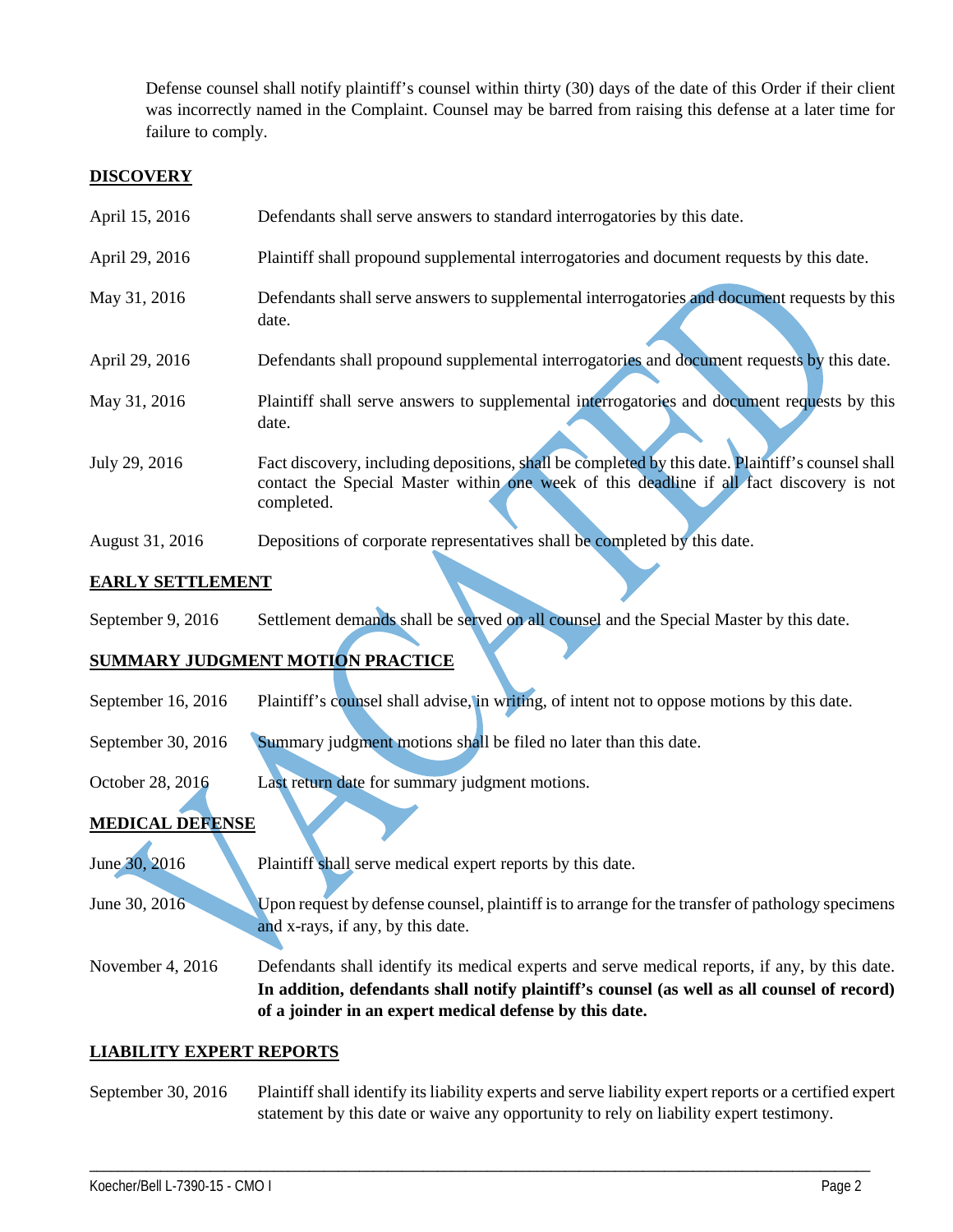Defense counsel shall notify plaintiff's counsel within thirty (30) days of the date of this Order if their client was incorrectly named in the Complaint. Counsel may be barred from raising this defense at a later time for failure to comply.

# **DISCOVERY**

| April 15, 2016 | Defendants shall serve answers to standard interrogatories by this date.                              |
|----------------|-------------------------------------------------------------------------------------------------------|
| April 29, 2016 | Plaintiff shall propound supplemental interrogatories and document requests by this date.             |
| May 31, 2016   | Defendants shall serve answers to supplemental interrogatories and document requests by this<br>date. |
| April 29, 2016 | Defendants shall propound supplemental interrogatories and document requests by this date.            |
| May 31, 2016   | Plaintiff shall serve answers to supplemental interrogatories and document requests by this<br>date.  |

- July 29, 2016 Fact discovery, including depositions, shall be completed by this date. Plaintiff's counsel shall contact the Special Master within one week of this deadline if all fact discovery is not completed.
- August 31, 2016 Depositions of corporate representatives shall be completed by this date.

# **EARLY SETTLEMENT**

September 9, 2016 Settlement demands shall be served on all counsel and the Special Master by this date.

# **SUMMARY JUDGMENT MOTION PRACTICE**

- September 16, 2016 Plaintiff's counsel shall advise, in writing, of intent not to oppose motions by this date.
- September 30, 2016 Summary judgment motions shall be filed no later than this date.
- October 28, 2016 Last return date for summary judgment motions.

# **MEDICAL DEFENSE**

- June 30, 2016 Plaintiff shall serve medical expert reports by this date.
- June 30, 2016 Upon request by defense counsel, plaintiff is to arrange for the transfer of pathology specimens and x-rays, if any, by this date.

November 4, 2016 Defendants shall identify its medical experts and serve medical reports, if any, by this date. **In addition, defendants shall notify plaintiff's counsel (as well as all counsel of record) of a joinder in an expert medical defense by this date.**

# **LIABILITY EXPERT REPORTS**

September 30, 2016 Plaintiff shall identify its liability experts and serve liability expert reports or a certified expert statement by this date or waive any opportunity to rely on liability expert testimony.

\_\_\_\_\_\_\_\_\_\_\_\_\_\_\_\_\_\_\_\_\_\_\_\_\_\_\_\_\_\_\_\_\_\_\_\_\_\_\_\_\_\_\_\_\_\_\_\_\_\_\_\_\_\_\_\_\_\_\_\_\_\_\_\_\_\_\_\_\_\_\_\_\_\_\_\_\_\_\_\_\_\_\_\_\_\_\_\_\_\_\_\_\_\_\_\_\_\_\_\_\_\_\_\_\_\_\_\_\_\_